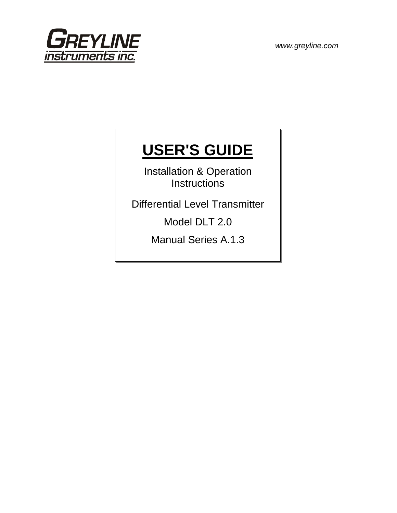

# **USER'S GUIDE**

Installation & Operation **Instructions** 

Differential Level Transmitter

Model DLT 2.0

Manual Series A.1.3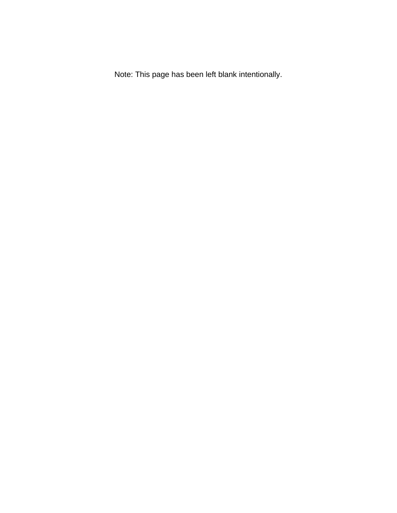Note: This page has been left blank intentionally.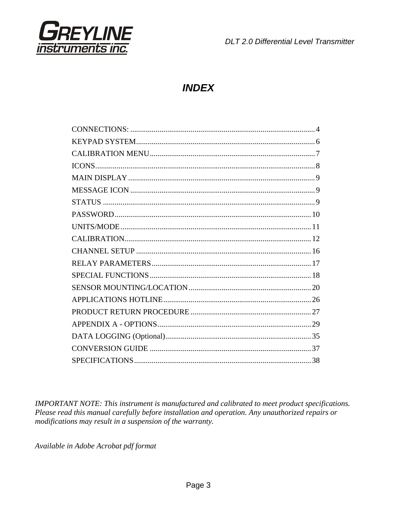

# **INDEX**

IMPORTANT NOTE: This instrument is manufactured and calibrated to meet product specifications. Please read this manual carefully before installation and operation. Any unauthorized repairs or modifications may result in a suspension of the warranty.

Available in Adobe Acrobat pdf format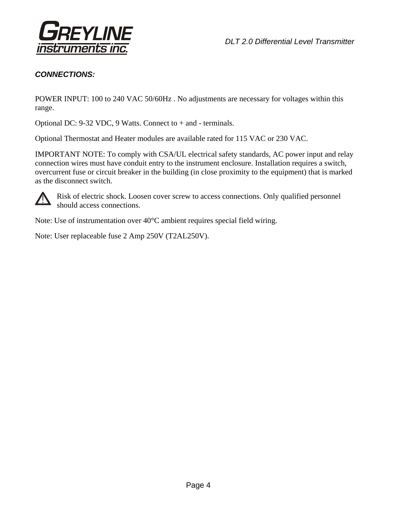

# *CONNECTIONS:*

POWER INPUT: 100 to 240 VAC 50/60Hz . No adjustments are necessary for voltages within this range.

Optional DC: 9-32 VDC, 9 Watts. Connect to + and - terminals.

Optional Thermostat and Heater modules are available rated for 115 VAC or 230 VAC.

IMPORTANT NOTE: To comply with CSA/UL electrical safety standards, AC power input and relay connection wires must have conduit entry to the instrument enclosure. Installation requires a switch, overcurrent fuse or circuit breaker in the building (in close proximity to the equipment) that is marked as the disconnect switch.



Risk of electric shock. Loosen cover screw to access connections. Only qualified personnel should access connections.

Note: Use of instrumentation over 40°C ambient requires special field wiring.

Note: User replaceable fuse 2 Amp 250V (T2AL250V).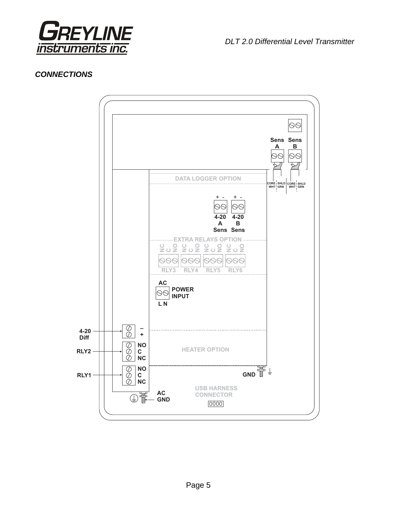

## *CONNECTIONS*

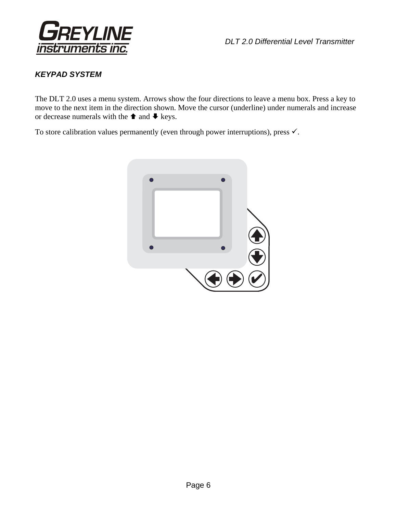

# *KEYPAD SYSTEM*

The DLT 2.0 uses a menu system. Arrows show the four directions to leave a menu box. Press a key to move to the next item in the direction shown. Move the cursor (underline) under numerals and increase or decrease numerals with the  $\triangle$  and  $\blacktriangleright$  keys.

To store calibration values permanently (even through power interruptions), press  $\checkmark$ .

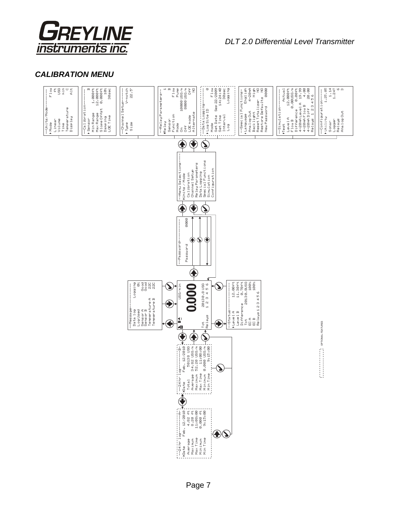

# *CALIBRATION MENU*

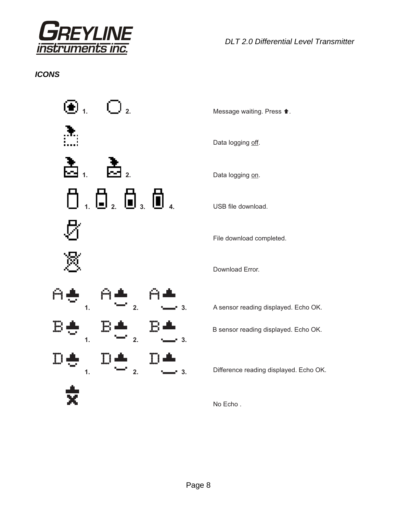

# *ICONS*



Data logging off.

File download completed.

Download Error.

A sensor reading displayed. Echo OK.

B sensor reading displayed. Echo OK.

Difference reading displayed. Echo OK.

No Echo .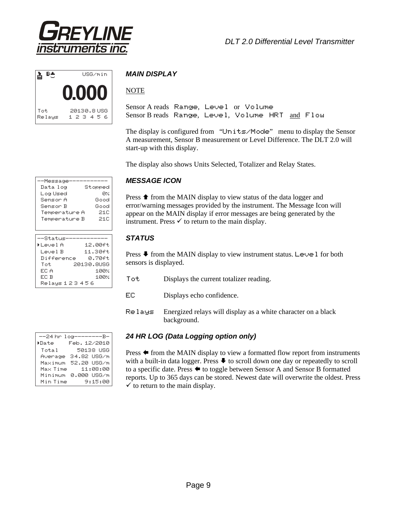



## *MAIN DISPLAY*

## NOTE

Sensor A reads Range, Level or Volume Sensor B reads Range, Level, Volume HRT and Flow

The display is configured from "Units/Mode" menu to display the Sensor A measurement, Sensor B measurement or Level Difference. The DLT 2.0 will start-up with this display.

The display also shows Units Selected, Totalizer and Relay States.

#### *MESSAGE ICON*

Press  $\triangle$  from the MAIN display to view status of the data logger and error/warning messages provided by the instrument. The Message Icon will appear on the MAIN display if error messages are being generated by the instrument. Press  $\checkmark$  to return to the main display.

## *STATUS*

Press  $\blacktriangleright$  from the MAIN display to view instrument status. Level for both sensors is displayed.

- Tot Displays the current totalizer reading.
- EC Displays echo confidence.
- Relays Energized relays will display as a white character on a black background.

#### *24 HR LOG (Data Logging option only)*

Press  $\blacklozenge$  from the MAIN display to view a formatted flow report from instruments with a built-in data logger. Press  $\blacklozenge$  to scroll down one day or repeatedly to scroll to a specific date. Press  $\blacklozenge$  to toggle between Sensor A and Sensor B formatted reports. Up to 365 days can be stored. Newest date will overwrite the oldest. Press  $\checkmark$  to return to the main display.

| Data log           | Stopped    |
|--------------------|------------|
| Log Used           | ЙX         |
| Sensor A           | Good       |
| Senson B           | Good       |
| Temperature A      | 21C        |
| Temperature B      | -21C       |
|                    |            |
|                    |            |
| --Status           |            |
| ▶LevelA            | 12.00ft    |
| Level B            | 11.30ft    |
| Difference         | я. 7яғt.   |
| Tot.               | 20130.8USG |
| EC A               | 1 AA%      |
| FC B               | 1 AA%      |
| Relaus 1 2 3 4 5 6 |            |

--Message-----------

|                 | --24 hr log--------B- |
|-----------------|-----------------------|
| <b>&gt;Date</b> | Feb. 12/2010          |
| Total           | 50138 USG             |
| Average         | 34.82 USG/m           |
| Maximum         | 52.20 USG/m           |
| Max Time        | 11:08:00              |
| Minimum         | 0.000 USG⁄m           |
| Min Time        | 9:15:00               |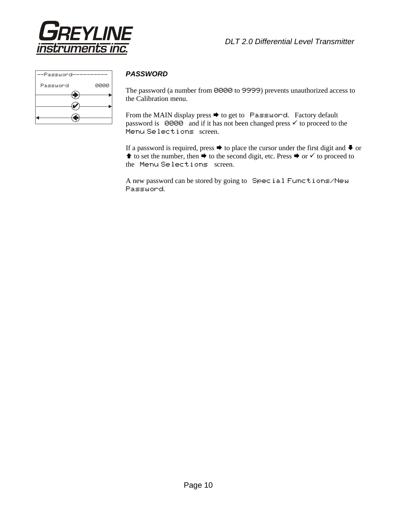

| 0000 |
|------|
|      |
|      |
|      |
|      |

#### *PASSWORD*

The password (a number from 0000 to 9999) prevents unauthorized access to the Calibration menu.

From the MAIN display press  $\rightarrow$  to get to Password. Factory default password is 0000 and if it has not been changed press  $\checkmark$  to proceed to the Menu Selections screen.

If a password is required, press  $\rightarrow$  to place the cursor under the first digit and  $\rightarrow$  or  $\uparrow$  to set the number, then  $\rightarrow$  to the second digit, etc. Press  $\rightarrow$  or  $\checkmark$  to proceed to the Menu Selections screen.

A new password can be stored by going to Special Functions/New Password.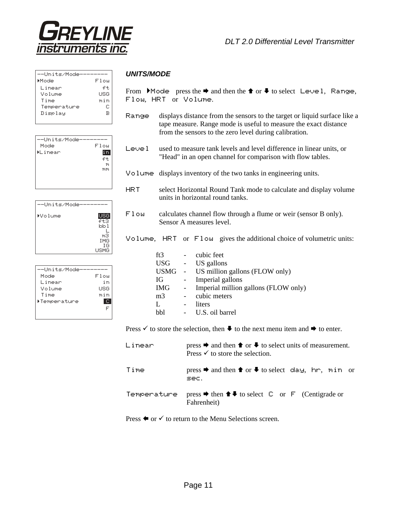

| --Units/Mode |      |
|--------------|------|
| Mode         | F1ow |
| Linear       | ft   |
| Volume       | USG  |
| Time         | min  |
| Temperature  | C.   |
| Display      | в    |
|              |      |

| -Units/Mode    |             |
|----------------|-------------|
| Mode           | Flow        |
| <b>MLinear</b> | $\Gamma$    |
|                | ft          |
|                | m           |
|                | <b>TYTY</b> |
|                |             |
|                |             |
|                |             |

| --Units/Mode |                |
|--------------|----------------|
| ▶Volume      | <b>USG</b>     |
|              | ft3<br>lolo 1  |
|              | m <sup>3</sup> |
|              | IMG            |
|              | ΙG<br>LISMG    |
|              |                |

| --Units/Mode- |      |
|---------------|------|
| Mode          | Flow |
| Linear        | iп   |
| Volume        | LISG |
| Time          | min  |
| >Temperature  |      |
|               |      |
|               |      |

#### *UNITS/MODE*

From  $\blacktriangleright$  Mode press the  $\blacktriangleright$  and then the  $\blacklozenge$  or  $\blacktriangleright$  to select Level, Range, Flow, HRT or Volume.

- Range displays distance from the sensors to the target or liquid surface like a tape measure. Range mode is useful to measure the exact distance from the sensors to the zero level during calibration.
- Leve 1 used to measure tank levels and level difference in linear units, or "Head" in an open channel for comparison with flow tables.
- Volume displays inventory of the two tanks in engineering units.
- HRT select Horizontal Round Tank mode to calculate and display volume units in horizontal round tanks.
- Flow calculates channel flow through a flume or weir (sensor B only). Sensor A measures level.

#### Volume, HRT or Flow gives the additional choice of volumetric units:

|                | ft $3$<br>$\sim$ $-$ | cubic feet                            |
|----------------|----------------------|---------------------------------------|
|                |                      | USG - US gallons                      |
|                |                      | USMG - US million gallons (FLOW only) |
| IG             |                      | Imperial gallons                      |
|                | IMG<br>$\sim$        | Imperial million gallons (FLOW only)  |
| m <sub>3</sub> |                      | cubic meters                          |
| L              |                      | liters                                |
| hhl            |                      | - U.S. oil barrel                     |
|                |                      |                                       |

Press  $\checkmark$  to store the selection, then  $\checkmark$  to the next menu item and  $\checkmark$  to enter.

| Linear      | press $\rightarrow$ and then $\rightarrow$ or $\rightarrow$ to select units of measurement.<br>Press $\checkmark$ to store the selection. |
|-------------|-------------------------------------------------------------------------------------------------------------------------------------------|
| Time        | press $\rightarrow$ and then $\uparrow$ or $\downarrow$ to select clay, hr, min or<br>sec.                                                |
| Temperature | press $\rightarrow$ then $\uparrow \uparrow \uparrow$ to select $\Box$ or $\vdash$ (Centigrade or<br>Fahrenheit)                          |

Press  $\blacklozenge$  or  $\blacklozenge$  to return to the Menu Selections screen.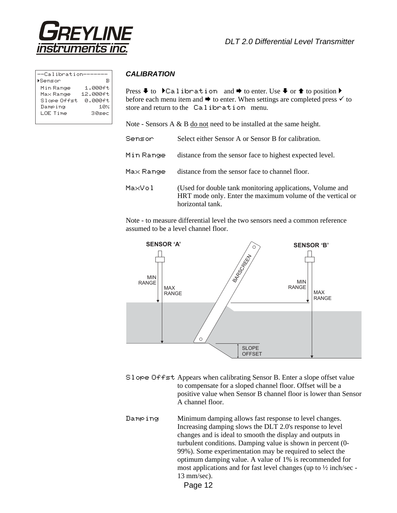

| --Calibration-- |                                                  |
|-----------------|--------------------------------------------------|
| ▶Sensor         |                                                  |
| Min Range       | $\frac{1.000 \, \text{ft}}{12.000 \, \text{ft}}$ |
| Max Range       |                                                  |
| Slope Offst     | 0.000ft                                          |
| Damping         | 10%                                              |
| LOE Time        | 30sec                                            |
|                 |                                                  |

#### *CALIBRATION*

Press  $\blacklozenge$  to  $\blacktriangleright$  Calibration and  $\blacktriangleright$  to enter. Use  $\blacktriangleright$  or  $\blacktriangle$  to position  $\blacktriangleright$ before each menu item and  $\rightarrow$  to enter. When settings are completed press  $\checkmark$  to store and return to the Calibration menu.

Note - Sensors A & B do not need to be installed at the same height.

| Sensor    | Select either Sensor A or Sensor B for calibration.                                                                                         |
|-----------|---------------------------------------------------------------------------------------------------------------------------------------------|
| Min Range | distance from the sensor face to highest expected level.                                                                                    |
| Max Range | distance from the sensor face to channel floor.                                                                                             |
| MaxVol    | (Used for double tank monitoring applications, Volume and<br>HRT mode only. Enter the maximum volume of the vertical or<br>horizontal tank. |

Note - to measure differential level the two sensors need a common reference assumed to be a level channel floor.



- Slope Offst Appears when calibrating Sensor B. Enter a slope offset value to compensate for a sloped channel floor. Offset will be a positive value when Sensor B channel floor is lower than Sensor A channel floor.
- Damp ing Minimum damping allows fast response to level changes. Increasing damping slows the DLT 2.0's response to level changes and is ideal to smooth the display and outputs in turbulent conditions. Damping value is shown in percent (0- 99%). Some experimentation may be required to select the optimum damping value. A value of 1% is recommended for most applications and for fast level changes (up to ½ inch/sec - 13 mm/sec).
	- Page 12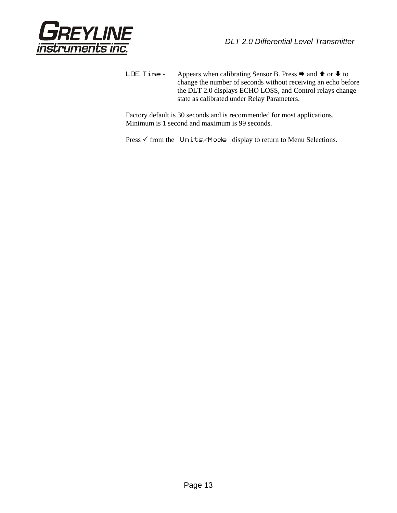

LOE Time - Appears when calibrating Sensor B. Press  $\Rightarrow$  and  $\Rightarrow$  or  $\clubsuit$  to change the number of seconds without receiving an echo before the DLT 2.0 displays ECHO LOSS, and Control relays change state as calibrated under Relay Parameters.

Factory default is 30 seconds and is recommended for most applications, Minimum is 1 second and maximum is 99 seconds.

Press  $\checkmark$  from the Units/Mode display to return to Menu Selections.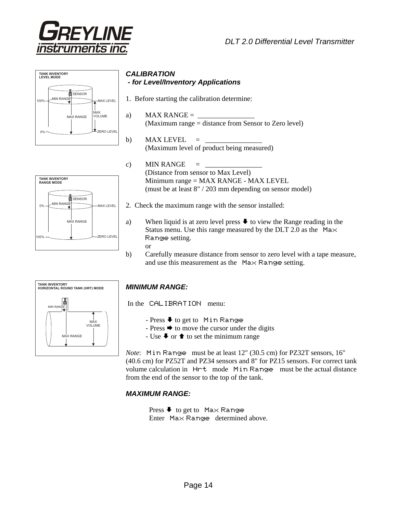





SENSOR

MAX RANGE

MIN RANGE

**TANK INVENTORY RANGE MODE**

0%

 $00<sup>6</sup>$ 

MAX LEVEL

ZERO LEVEL

#### *CALIBRATION - for Level/Inventory Applications*

- 1. Before starting the calibration determine:
- a) MAX RANGE  $=$ (Maximum range = distance from Sensor to Zero level)
- b) MAX LEVEL  $=$ (Maximum level of product being measured)
- c) MIN RANGE  $=$ (Distance from sensor to Max Level) Minimum range = MAX RANGE - MAX LEVEL (must be at least 8" / 203 mm depending on sensor model)
- 2. Check the maximum range with the sensor installed:
- a) When liquid is at zero level press  $\blacktriangleright$  to view the Range reading in the Status menu. Use this range measured by the DLT 2.0 as the  $Max$ Range setting.
	- or
- b) Carefully measure distance from sensor to zero level with a tape measure, and use this measurement as the Max Range setting.



## *MINIMUM RANGE:*

In the CALIBRATION menu:

- Press  $\blacklozenge$  to get to Min Range
- Press  $\rightarrow$  to move the cursor under the digits
- Use  $\blacktriangleright$  or  $\blacklozenge$  to set the minimum range

*Note*: Min Range must be at least 12" (30.5 cm) for PZ32T sensors, 16" (40.6 cm) for PZ52T and PZ34 sensors and 8" for PZ15 sensors. For correct tank volume calculation in Hrt mode Min Range must be the actual distance from the end of the sensor to the top of the tank.

#### *MAXIMUM RANGE:*

Press  $\blacklozenge$  to get to Max Range Enter Max Range determined above.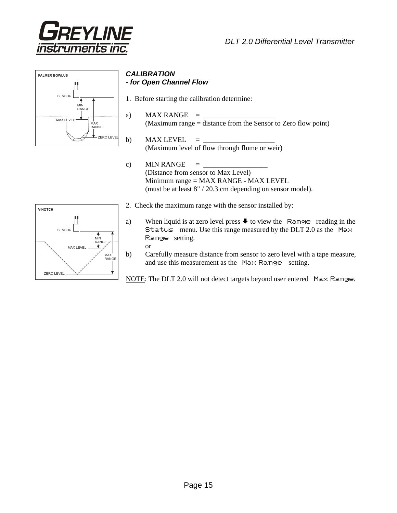





#### *CALIBRATION - for Open Channel Flow*

- 1. Before starting the calibration determine:
- a) MAX RANGE  $=$ (Maximum range = distance from the Sensor to Zero flow point)
- b) MAX LEVEL  $=$ (Maximum level of flow through flume or weir)
- c) MIN RANGE  $=$  (Distance from sensor to Max Level) Minimum range = MAX RANGE - MAX LEVEL (must be at least 8" / 20.3 cm depending on sensor model).
- **V-NOTCH**  $\mathbb{F}$ **SENSOR**  $\frac{1}{\text{MIN}}$ RANGE MAX LEVEL MAX RANGE ZERO LEVEL
- 2. Check the maximum range with the sensor installed by:
	- a) When liquid is at zero level press  $\blacklozenge$  to view the Range reading in the Status menu. Use this range measured by the DLT 2.0 as the Max Range setting.
		- or
	- b) Carefully measure distance from sensor to zero level with a tape measure, and use this measurement as the Max Range setting.

NOTE: The DLT 2.0 will not detect targets beyond user entered Max Range.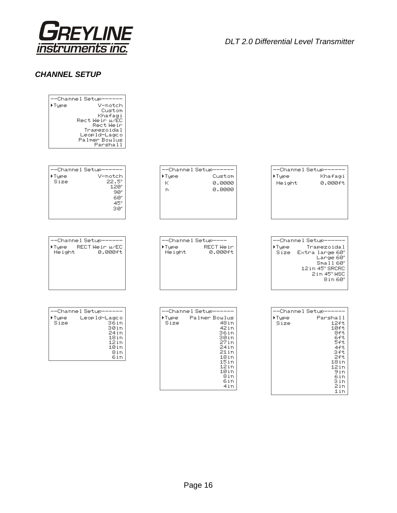

#### *CHANNEL SETUP*

| --Channel Setup------<br>▶Type<br>V-notch<br>Custom<br>Khafagi<br>Rect Wein W/EC<br>Rect Wein<br>Trapezoidal<br>Leopld-Lagco<br>Palmer Boulus<br>Parshall |                                                                                                                                                                                      |                                                                                                                                                                       |
|-----------------------------------------------------------------------------------------------------------------------------------------------------------|--------------------------------------------------------------------------------------------------------------------------------------------------------------------------------------|-----------------------------------------------------------------------------------------------------------------------------------------------------------------------|
| --Channel Setup------<br>Tupe<br>V-notch<br>Size<br>$22.5^\circ$<br>$120^\circ$<br>90°<br>60°<br>$45^\circ$<br>$30^{\circ}$                               | --Channel Setup------<br>▶Type<br>Custom<br>К<br>0.0000<br>0.0000<br>T1                                                                                                              | --Channel Setup------<br>▶Type<br>Khafagi<br>Height<br>0.000ft                                                                                                        |
| --Channel Setup------<br>⊁Type:<br>RECT We in W/EC<br>Height<br>0.000ft                                                                                   | --Channel Setup----<br>RECT Weir<br>⊁Type i<br>Height<br>0.000ft                                                                                                                     | --Channel Setup------<br>▶Tupe<br>Trapezoidal<br>Size Extra large 60°<br>Lange 60°<br>Small 60°<br>12 in 45° SRCRC<br>2in 45° WSC<br>$8$ in 60 $^{\circ}$             |
| --Channel Setup------<br>⊁Type i<br>Leopld-Lagco<br>Size<br>36in<br>30in<br>24in<br>18in<br>12in<br>10in<br>8in<br>6in                                    | --Channel Setup------<br>▶Type<br>Palmer Bowlus<br>Size<br>48 <sub>in</sub><br>42in<br>36in<br>30in<br>27in<br>24in<br>21 in<br>$18$ in<br>15in<br>12in<br>10in<br>8in<br>6in<br>4in | --Channel Setup------<br>▶Type<br>Parshall<br>$12$ ft<br>Size<br>$10$ ft<br>8ft<br>6ft<br>5ft<br>4ft<br>Зft<br>2ft<br>18in<br>12in<br>9in<br>6in<br>Зin<br>2in<br>1in |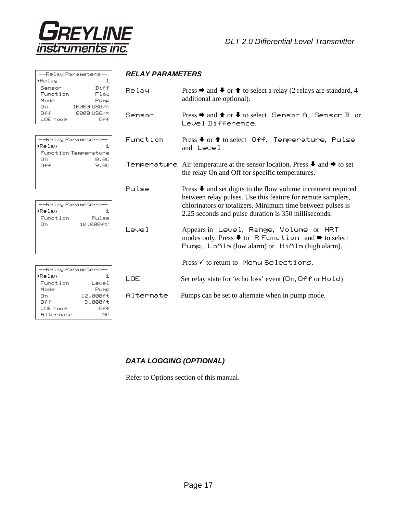

| --Relay Parameters-- |             |  |  |  |
|----------------------|-------------|--|--|--|
| ▶Relay               | 1.          |  |  |  |
| Sensor               | Diff        |  |  |  |
| Function             | Flow        |  |  |  |
| Mode                 | Pump        |  |  |  |
| П'n                  | 10000 USG/m |  |  |  |
| ∩ff                  | 8000 USG/m  |  |  |  |
| LOE model            | ∩£€         |  |  |  |
|                      |             |  |  |  |
|                      |             |  |  |  |

|        | --Relay Parameters-- |
|--------|----------------------|
| ▶Relay |                      |
|        | Function Temperature |
| П'n    | я. AC                |
| ∩ff    | 9.AC                 |
|        |                      |
|        |                      |
|        |                      |

| --Relay Parameters-- |           |
|----------------------|-----------|
| ▶Relay               | 1         |
| Function             | Pulse     |
| П'n                  | 10.000ft3 |
|                      |           |
|                      |           |
|                      |           |
|                      |           |

| --Relay Parameters-- |            |  |  |  |
|----------------------|------------|--|--|--|
| ▶Relay               | 1          |  |  |  |
| Function             | Level      |  |  |  |
| Mode                 | Pump       |  |  |  |
| Π'n                  | 12.000ft   |  |  |  |
| Off                  | $3.999$ ft |  |  |  |
| LOE mode             | Off        |  |  |  |
| Alternate            | NΠ         |  |  |  |

#### *RELAY PARAMETERS*

| Relay      | Press $\rightarrow$ and $\rightarrow$ or $\rightarrow$ to select a relay (2 relays are standard, 4<br>additional are optional).                                                                                                                                       |
|------------|-----------------------------------------------------------------------------------------------------------------------------------------------------------------------------------------------------------------------------------------------------------------------|
| Sensor     | Press $\rightarrow$ and $\rightarrow$ or $\rightarrow$ to select Sensor A, Sensor B or<br>Level Difference.                                                                                                                                                           |
| Function   | Press $\blacklozenge$ or $\blacklozenge$ to select Off, Temperature, Pulse<br>and Level.                                                                                                                                                                              |
|            | Temperature Air temperature at the sensor location. Press $\blacklozenge$ and $\blacktriangleright$ to set<br>the relay On and Off for specific temperatures.                                                                                                         |
| Pulse      | Press $\blacktriangleright$ and set digits to the flow volume increment required<br>between relay pulses. Use this feature for remote samplers,<br>chlorinators or totalizers. Minimum time between pulses is<br>2.25 seconds and pulse duration is 350 milliseconds. |
| 1 دریم ا   | Appears in Level, Range, Volume or HRT<br>modes only. Press $\blacklozenge$ to R Function and $\blacktriangleright$ to select<br>Pump, LoAlm (low alarm) or HiAlm (high alarm).                                                                                       |
|            | Press √ to return to Menu Selections.                                                                                                                                                                                                                                 |
| <b>LOF</b> | Set relay state for 'echo loss' event (On, Off or Hold)                                                                                                                                                                                                               |
| Alternate  | Pumps can be set to alternate when in pump mode.                                                                                                                                                                                                                      |

# *DATA LOGGING (OPTIONAL)*

Refer to Options section of this manual.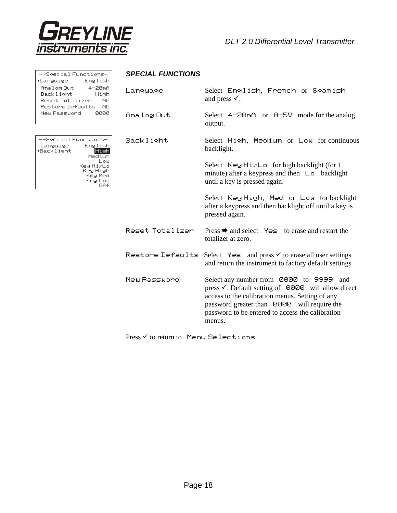

| --Special Functions-<br><b>L</b> anguage<br>English                                                  | <b>SPECIAL FUNCTIONS</b> |                                                                                                                                                                                                                                                                           |  |  |  |
|------------------------------------------------------------------------------------------------------|--------------------------|---------------------------------------------------------------------------------------------------------------------------------------------------------------------------------------------------------------------------------------------------------------------------|--|--|--|
| Analog Out<br>$4 - 20m +$<br>Backlight<br>High<br>Reset Totalizer<br>NO.<br>Restore Defaults<br>- NO | Language                 | Select English, French or Spanish<br>and press $\checkmark$ .                                                                                                                                                                                                             |  |  |  |
| New Password<br>0000                                                                                 | Analog Out               | Select $4-2\Theta mA$ or $\Theta$ -5V mode for the analog<br>output.                                                                                                                                                                                                      |  |  |  |
| --Special Functions-<br>English<br>Language<br>▶Backlight<br>High<br>Medium                          | Backlight                | Select High, Medium or Low for continuous<br>backlight.                                                                                                                                                                                                                   |  |  |  |
| Low<br>Key Hi/Lo<br>Key High<br>Key Med<br>Key Low<br>Off                                            |                          | Select Key Hi/Lo for high backlight (for 1<br>minute) after a keypress and then $\Box$ backlight<br>until a key is pressed again.                                                                                                                                         |  |  |  |
|                                                                                                      |                          | Select Key High, Med or Low for backlight<br>after a keypress and then backlight off until a key is<br>pressed again.                                                                                                                                                     |  |  |  |
|                                                                                                      | Reset Intalizer          | Press $\rightarrow$ and select $\forall \in$ to erase and restart the<br>totalizer at zero.                                                                                                                                                                               |  |  |  |
|                                                                                                      |                          | Restore Defaults Select Yes and press v to erase all user settings<br>and return the instrument to factory default settings                                                                                                                                               |  |  |  |
|                                                                                                      | New Password             | Select any number from 0000 to 9999 and<br>press $\checkmark$ . Default setting of 0000 will allow direct<br>access to the calibration menus. Setting of any<br>password greater than 0000 will require the<br>password to be entered to access the calibration<br>menus. |  |  |  |

Press  $\checkmark$  to return to Menu Selections.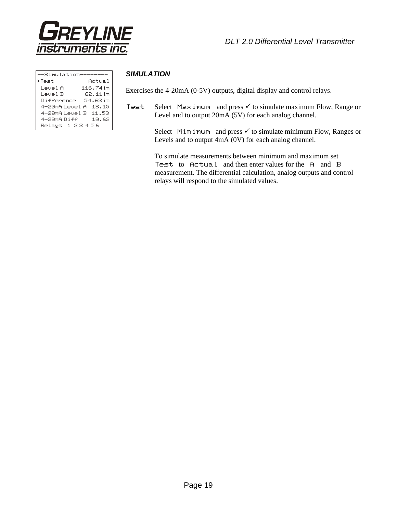

| --Simulation-        |          |
|----------------------|----------|
| ▶Test                | Actual   |
| Level A              | 116.74in |
| Level B              | 62.11in  |
| Difference           | 54.63 in |
| 4-20mAlevelA 18.15   |          |
| 4-20mA Level B 11.53 |          |
| 4–20mA Diff          | 10.62    |
| Relaus 1 23456       |          |

#### *SIMULATION*

Exercises the 4-20mA (0-5V) outputs, digital display and control relays.

Test Select Maximum and press  $\checkmark$  to simulate maximum Flow, Range or Level and to output 20mA (5V) for each analog channel.

> Select Minimum and press  $\checkmark$  to simulate minimum Flow, Ranges or Levels and to output 4mA (0V) for each analog channel.

 To simulate measurements between minimum and maximum set Test to Actual and then enter values for the A and B measurement. The differential calculation, analog outputs and control relays will respond to the simulated values.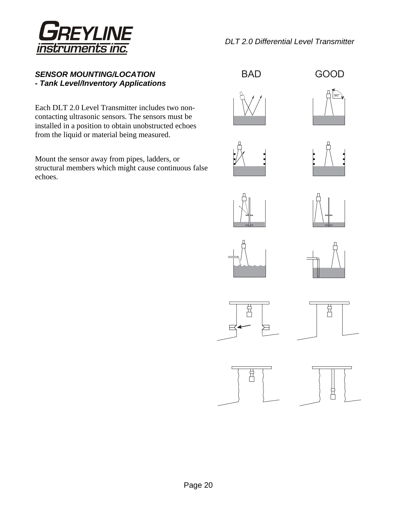

## *SENSOR MOUNTING/LOCATION - Tank Level/Inventory Applications*

Each DLT 2.0 Level Transmitter includes two noncontacting ultrasonic sensors. The sensors must be installed in a position to obtain unobstructed echoes from the liquid or material being measured.

Mount the sensor away from pipes, ladders, or structural members which might cause continuous false echoes.

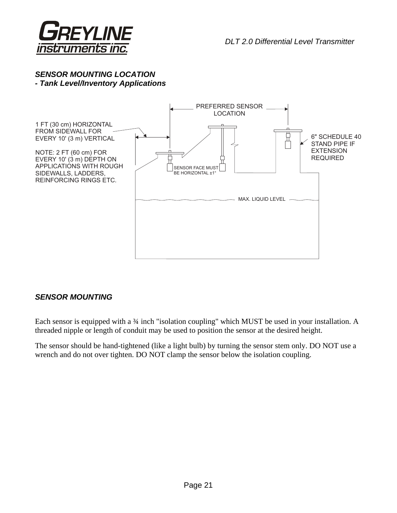

## *SENSOR MOUNTING LOCATION - Tank Level/Inventory Applications*



## *SENSOR MOUNTING*

Each sensor is equipped with a 34 inch "isolation coupling" which MUST be used in your installation. A threaded nipple or length of conduit may be used to position the sensor at the desired height.

The sensor should be hand-tightened (like a light bulb) by turning the sensor stem only. DO NOT use a wrench and do not over tighten. DO NOT clamp the sensor below the isolation coupling.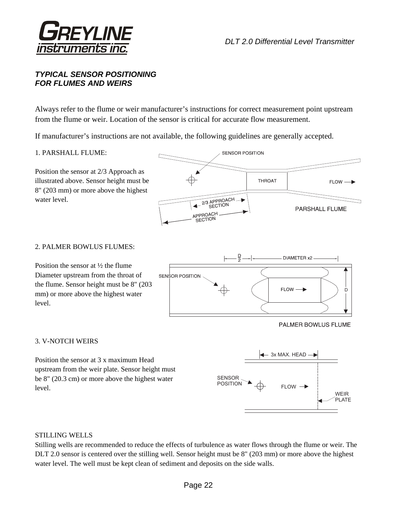

## *TYPICAL SENSOR POSITIONING FOR FLUMES AND WEIRS*

Always refer to the flume or weir manufacturer's instructions for correct measurement point upstream from the flume or weir. Location of the sensor is critical for accurate flow measurement.

If manufacturer's instructions are not available, the following guidelines are generally accepted.

#### 1. PARSHALL FLUME:

Position the sensor at 2/3 Approach as illustrated above. Sensor height must be 8" (203 mm) or more above the highest water level.



#### 2. PALMER BOWLUS FLUMES:

Position the sensor at ½ the flume Diameter upstream from the throat of the flume. Sensor height must be 8" (203 mm) or more above the highest water level.



PALMER BOWLUS FLUME

#### 3. V-NOTCH WEIRS

Position the sensor at 3 x maximum Head upstream from the weir plate. Sensor height must be 8" (20.3 cm) or more above the highest water level.



#### STILLING WELLS

Stilling wells are recommended to reduce the effects of turbulence as water flows through the flume or weir. The DLT 2.0 sensor is centered over the stilling well. Sensor height must be 8" (203 mm) or more above the highest water level. The well must be kept clean of sediment and deposits on the side walls.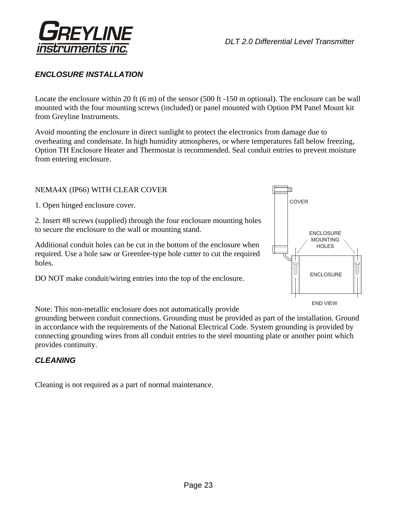

# *ENCLOSURE INSTALLATION*

Locate the enclosure within 20 ft (6 m) of the sensor (500 ft -150 m optional). The enclosure can be wall mounted with the four mounting screws (included) or panel mounted with Option PM Panel Mount kit from Greyline Instruments.

Avoid mounting the enclosure in direct sunlight to protect the electronics from damage due to overheating and condensate. In high humidity atmospheres, or where temperatures fall below freezing, Option TH Enclosure Heater and Thermostat is recommended. Seal conduit entries to prevent moisture from entering enclosure.

## NEMA4X (IP66) WITH CLEAR COVER

1. Open hinged enclosure cover.

2. Insert #8 screws (supplied) through the four enclosure mounting holes to secure the enclosure to the wall or mounting stand.

Additional conduit holes can be cut in the bottom of the enclosure when required. Use a hole saw or Greenlee-type hole cutter to cut the required holes.

DO NOT make conduit/wiring entries into the top of the enclosure.



Note: This non-metallic enclosure does not automatically provide

grounding between conduit connections. Grounding must be provided as part of the installation. Ground in accordance with the requirements of the National Electrical Code. System grounding is provided by connecting grounding wires from all conduit entries to the steel mounting plate or another point which provides continuity.

## *CLEANING*

Cleaning is not required as a part of normal maintenance.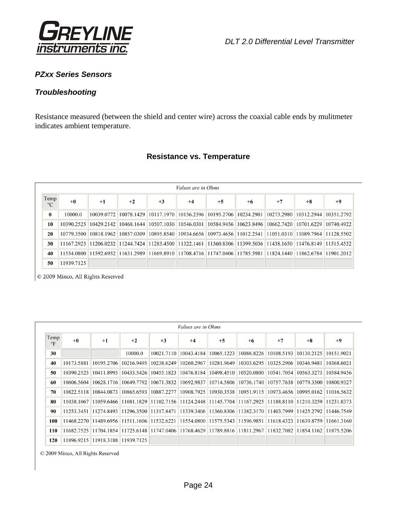

## *PZxx Series Sensors*

## *Troubleshooting*

Resistance measured (between the shield and center wire) across the coaxial cable ends by mulitmeter indicates ambient temperature.

## **Resistance vs. Temperature**

|                         | <i>Values are in Ohms</i> |                                                                                                               |      |                                                                                         |      |            |            |                                                                |                       |            |
|-------------------------|---------------------------|---------------------------------------------------------------------------------------------------------------|------|-----------------------------------------------------------------------------------------|------|------------|------------|----------------------------------------------------------------|-----------------------|------------|
| Temp<br>$\rm ^{\circ}C$ | $+0$                      | $+1$                                                                                                          | $+2$ | $+3$                                                                                    | $+4$ | $+5$       | $+6$       | $+7$                                                           | $+8$                  | $+9$       |
| $\bf{0}$                | 10000.0                   | 10039.0772                                                                                                    |      | 10078.1429   10117.1970   10156.2396   10195.2706   10234.2901                          |      |            |            |                                                                | 10273.2980 10312.2944 | 10351.2792 |
| 10                      | 10390.2525                | 10429.2142                                                                                                    |      | 10468.1644 10507.1030 10546.0301                                                        |      | 10584.9456 | 10623.8496 | 10662.7420 10701.6229                                          |                       | 10740.4922 |
| 20                      | 10779.3500                | 10818.1962                                                                                                    |      | 10857.0309 10895.8540 10934.6656 10973.4656 11012.2541 11051.0310 11089.7964 11128.5502 |      |            |            |                                                                |                       |            |
| 30                      |                           | 11167.2925 11206.0232 11244.7424 11283.4500 11322.1461                                                        |      |                                                                                         |      |            |            | $  11360.8306  11399.5036  11438.1650  11476.8149  11515.4532$ |                       |            |
| 40                      |                           | 11554.0800 11592.6952 11631.2989 11669.8910 11708.4716 11747.0406 11785.5981 11824.1440 11862.6784 11901.2012 |      |                                                                                         |      |            |            |                                                                |                       |            |
| 50                      | 11939.7125                |                                                                                                               |      |                                                                                         |      |            |            |                                                                |                       |            |

© 2009 Minco, All Rights Reserved

| <i>Values are in Ohms</i> |            |            |                       |            |            |                                  |            |            |            |            |
|---------------------------|------------|------------|-----------------------|------------|------------|----------------------------------|------------|------------|------------|------------|
| Temp<br>$\circ$ F         | $+0$       | $+1$       | $+2$                  | $+3$       | $+4$       | $+5$                             | $+6$       | $+7$       | $+8$       | $+9$       |
| 30                        |            |            | 10000.0               | 10021.7110 | 10043.4184 | 10065.1223                       | 10086.8226 | 10108.5193 | 10130.2125 | 10151.9021 |
| 40                        | 10173.5881 | 10195.2706 | 10216.9495            | 10238.6249 | 10260.2967 | 10281.9649                       | 10303.6295 | 10325.2906 | 10346.9481 | 10368.6021 |
| 50                        | 10390.2525 | 10411.8993 | 10433.5426            | 10455.1823 | 10476.8184 | 10498.4510                       | 10520.0800 | 10541.7054 | 10563.3273 | 10584.9456 |
| 60                        | 10606.5604 | 10628.1716 | 10649.7792            | 10671.3832 | 10692.9837 | 10714.5806                       | 10736.1740 | 10757.7638 | 10779.3500 | 10800.9327 |
| 70                        | 10822.5118 | 10844.0873 | 10865.6593            | 10887.2277 | 10908.7925 | 10930.3538                       | 10951.9115 | 10973.4656 | 10995.0162 | 11016.5632 |
| 80                        | 11038.1067 | 11059.6466 | 11081.1829            | 11102.7156 |            | 11124.2448 11145.7704            | 11167.2925 | 11188.8110 | 11210.3259 | 11231.8373 |
| 90                        | 11253.3451 | 11274.8493 | 11296.3500            | 11317.8471 |            | 11339.3406 11360.8306 11382.3170 |            | 11403.7999 | 11425.2792 | 11446.7549 |
| 100                       | 11468.2270 |            | 11489.6956 11511.1606 | 11532.6221 |            | 11554.0800 11575.5343            | 11596.9851 | 11618.4323 | 11639.8759 | 11661.3160 |
| 110                       | 11682.7525 | 11704.1854 | 11725.6148            | 11747.0406 |            | 11768.4629 11789.8816 11811.2967 |            | 11832.7082 | 11854.1162 | 11875.5206 |
| 120                       | 11896.9215 |            | 11918.3188 11939.7125 |            |            |                                  |            |            |            |            |

© 2009 Minco, All Rights Reserved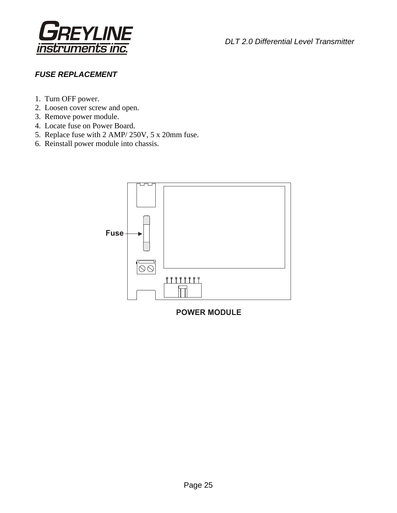

# *FUSE REPLACEMENT*

- 1. Turn OFF power.
- 2. Loosen cover screw and open.
- 3. Remove power module.
- 4. Locate fuse on Power Board.
- 5. Replace fuse with 2 AMP/ 250V, 5 x 20mm fuse.
- 6. Reinstall power module into chassis.



**POWER MODULE**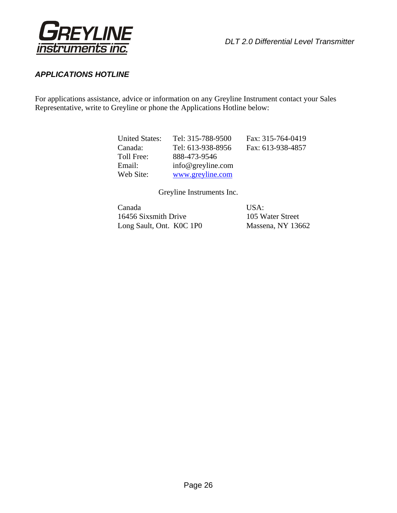

## *APPLICATIONS HOTLINE*

For applications assistance, advice or information on any Greyline Instrument contact your Sales Representative, write to Greyline or phone the Applications Hotline below:

| <b>United States:</b> | Tel: 315-788-9500    | Fax: 315-764-0419 |
|-----------------------|----------------------|-------------------|
| Canada:               | Tel: 613-938-8956    | Fax: 613-938-4857 |
| Toll Free:            | 888-473-9546         |                   |
| Email:                | $info@$ greyline.com |                   |
| Web Site:             | www.greyline.com     |                   |

Greyline Instruments Inc.

| Canada                   | USA:              |
|--------------------------|-------------------|
| 16456 Sixsmith Drive     | 105 Water Street  |
| Long Sault, Ont. KOC 1P0 | Massena, NY 13662 |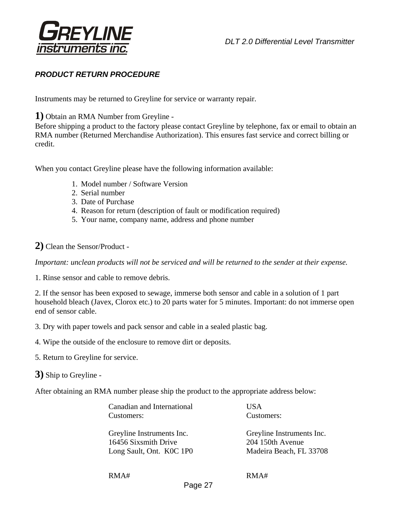

# *PRODUCT RETURN PROCEDURE*

Instruments may be returned to Greyline for service or warranty repair.

**1)** Obtain an RMA Number from Greyline -

Before shipping a product to the factory please contact Greyline by telephone, fax or email to obtain an RMA number (Returned Merchandise Authorization). This ensures fast service and correct billing or credit.

When you contact Greyline please have the following information available:

- 1. Model number / Software Version
- 2. Serial number
- 3. Date of Purchase
- 4. Reason for return (description of fault or modification required)
- 5. Your name, company name, address and phone number

## **2)** Clean the Sensor/Product -

*Important: unclean products will not be serviced and will be returned to the sender at their expense.* 

1. Rinse sensor and cable to remove debris.

2. If the sensor has been exposed to sewage, immerse both sensor and cable in a solution of 1 part household bleach (Javex, Clorox etc.) to 20 parts water for 5 minutes. Important: do not immerse open end of sensor cable.

3. Dry with paper towels and pack sensor and cable in a sealed plastic bag.

- 4. Wipe the outside of the enclosure to remove dirt or deposits.
- 5. Return to Greyline for service.
- **3)** Ship to Greyline -

After obtaining an RMA number please ship the product to the appropriate address below:

| Canadian and International | USA                       |
|----------------------------|---------------------------|
| Customers:                 | Customers:                |
| Greyline Instruments Inc.  | Greyline Instruments Inc. |
| 16456 Sixsmith Drive       | 204 150th Avenue          |
| Long Sault, Ont. KOC 1P0   | Madeira Beach, FL 33708   |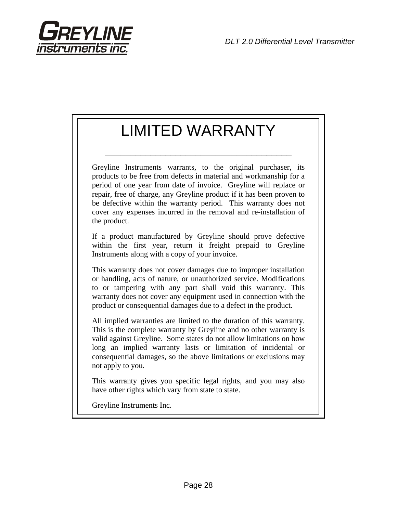

# LIMITED WARRANTY

**\_\_\_\_\_\_\_\_\_\_\_\_\_\_\_\_\_\_\_\_\_\_\_\_\_\_\_\_\_\_\_\_\_\_\_\_\_** 

Greyline Instruments warrants, to the original purchaser, its products to be free from defects in material and workmanship for a period of one year from date of invoice. Greyline will replace or repair, free of charge, any Greyline product if it has been proven to be defective within the warranty period. This warranty does not cover any expenses incurred in the removal and re-installation of the product.

If a product manufactured by Greyline should prove defective within the first year, return it freight prepaid to Greyline Instruments along with a copy of your invoice.

This warranty does not cover damages due to improper installation or handling, acts of nature, or unauthorized service. Modifications to or tampering with any part shall void this warranty. This warranty does not cover any equipment used in connection with the product or consequential damages due to a defect in the product.

All implied warranties are limited to the duration of this warranty. This is the complete warranty by Greyline and no other warranty is valid against Greyline. Some states do not allow limitations on how long an implied warranty lasts or limitation of incidental or consequential damages, so the above limitations or exclusions may not apply to you.

This warranty gives you specific legal rights, and you may also have other rights which vary from state to state.

Greyline Instruments Inc.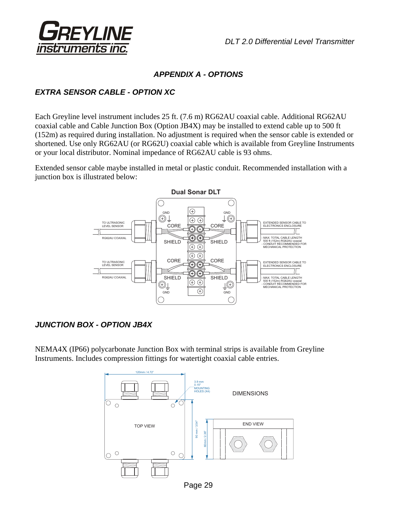

# *APPENDIX A - OPTIONS*

# *EXTRA SENSOR CABLE - OPTION XC*

Each Greyline level instrument includes 25 ft. (7.6 m) RG62AU coaxial cable. Additional RG62AU coaxial cable and Cable Junction Box (Option JB4X) may be installed to extend cable up to 500 ft (152m) as required during installation. No adjustment is required when the sensor cable is extended or shortened. Use only RG62AU (or RG62U) coaxial cable which is available from Greyline Instruments or your local distributor. Nominal impedance of RG62AU cable is 93 ohms.

Extended sensor cable maybe installed in metal or plastic conduit. Recommended installation with a junction box is illustrated below:



# *JUNCTION BOX - OPTION JB4X*

NEMA4X (IP66) polycarbonate Junction Box with terminal strips is available from Greyline Instruments. Includes compression fittings for watertight coaxial cable entries.



Page 29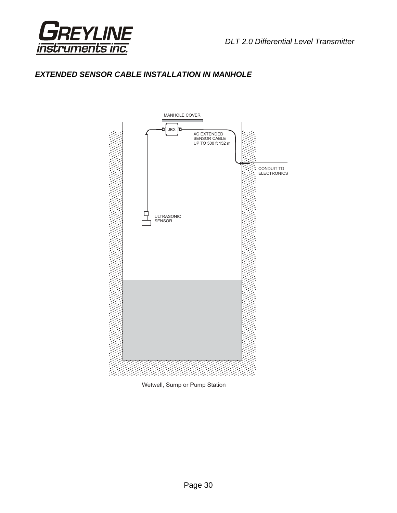



# *EXTENDED SENSOR CABLE INSTALLATION IN MANHOLE*



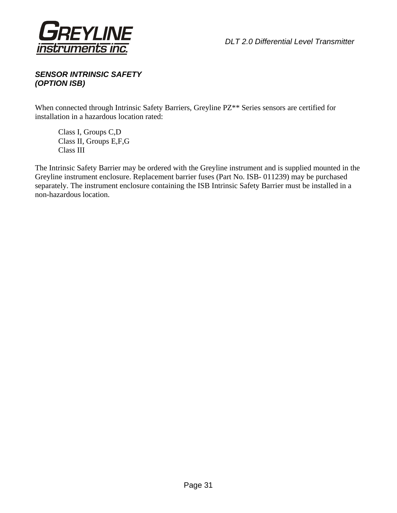

# *SENSOR INTRINSIC SAFETY (OPTION ISB)*

When connected through Intrinsic Safety Barriers, Greyline PZ\*\* Series sensors are certified for installation in a hazardous location rated:

 Class I, Groups C,D Class II, Groups E,F,G Class III

The Intrinsic Safety Barrier may be ordered with the Greyline instrument and is supplied mounted in the Greyline instrument enclosure. Replacement barrier fuses (Part No. ISB- 011239) may be purchased separately. The instrument enclosure containing the ISB Intrinsic Safety Barrier must be installed in a non-hazardous location.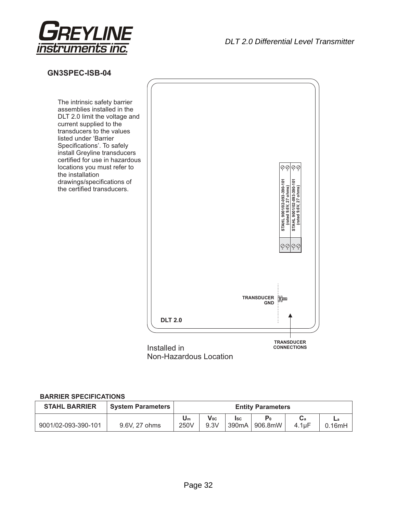

## **GN3SPEC-ISB-04**

The intrinsic safety barrier assemblies installed in the DLT 2.0 limit the voltage and current supplied to the transducers to the values listed under 'Barrier Specifications'. To safely install Greyline transducers certified for use in hazardous locations you must refer to the installation drawings/specifications of the certified transducers.



Non-Hazardous Location

#### **BARRIER SPECIFICATIONS**

| <b>STAHL BARRIER</b> | <b>System Parameters</b> | <b>Entity Parameters</b> |                         |       |                  |       |        |
|----------------------|--------------------------|--------------------------|-------------------------|-------|------------------|-------|--------|
|                      |                          | Um                       | $\mathsf{V}_{0{\rm C}}$ | Isc   | $\mathbf{P}_{0}$ |       |        |
| 9001/02-093-390-101  | 9.6V, 27 ohms            | 250V                     | 9.3V                    | 390mA | 906.8mW          | 4.1uF | 0.16mH |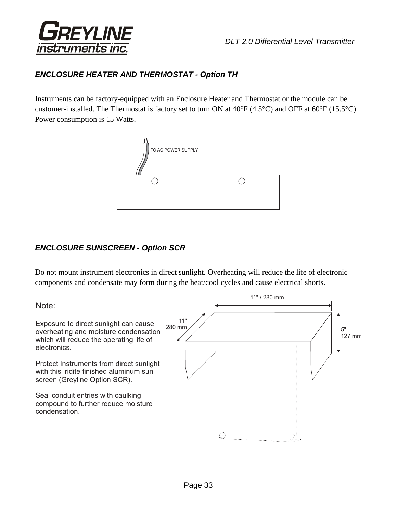

# *ENCLOSURE HEATER AND THERMOSTAT - Option TH*

Instruments can be factory-equipped with an Enclosure Heater and Thermostat or the module can be customer-installed. The Thermostat is factory set to turn ON at 40°F (4.5°C) and OFF at 60°F (15.5°C). Power consumption is 15 Watts.



# *ENCLOSURE SUNSCREEN - Option SCR*

Do not mount instrument electronics in direct sunlight. Overheating will reduce the life of electronic components and condensate may form during the heat/cool cycles and cause electrical shorts.

Note:

Exposure to direct sunlight can cause overheating and moisture condensation which will reduce the operating life of electronics.

Protect Instruments from direct sunlight with this iridite finished aluminum sun screen (Greyline Option SCR).

Seal conduit entries with caulking compound to further reduce moisture condensation.

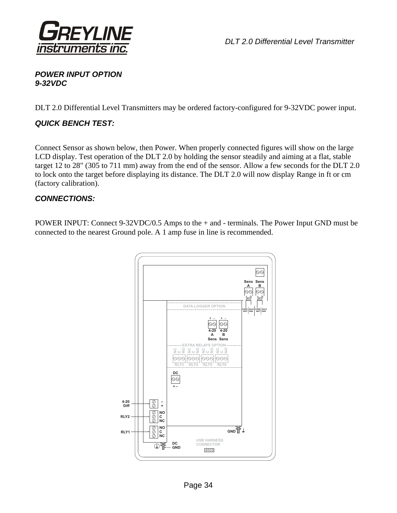

# *POWER INPUT OPTION 9-32VDC*

DLT 2.0 Differential Level Transmitters may be ordered factory-configured for 9-32VDC power input.

# *QUICK BENCH TEST:*

Connect Sensor as shown below, then Power. When properly connected figures will show on the large LCD display. Test operation of the DLT 2.0 by holding the sensor steadily and aiming at a flat, stable target 12 to 28" (305 to 711 mm) away from the end of the sensor. Allow a few seconds for the DLT 2.0 to lock onto the target before displaying its distance. The DLT 2.0 will now display Range in ft or cm (factory calibration).

## *CONNECTIONS:*

POWER INPUT: Connect 9-32VDC/0.5 Amps to the + and - terminals. The Power Input GND must be connected to the nearest Ground pole. A 1 amp fuse in line is recommended.

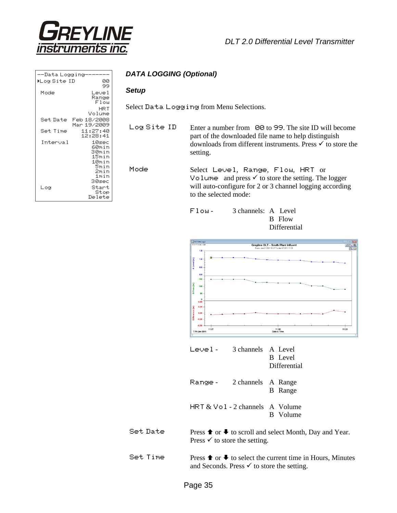

| --Data Logging |                                                                            |  |
|----------------|----------------------------------------------------------------------------|--|
| ▶Log Site ID   | 00                                                                         |  |
| Mode           | 99<br>Level                                                                |  |
|                | Range<br>F1ow                                                              |  |
|                | HRT<br>Volume                                                              |  |
| Set Date       | Feb 18/2008<br>Mar 19/2009                                                 |  |
| Set Time       | 11:27:40<br>12:28:41                                                       |  |
| Interval       | 10sec<br>60min<br>30min<br>15min<br>10min<br>Smin<br>2min<br>1min<br>30sec |  |
| Log            | Start<br>Stop<br>Delete                                                    |  |

## *DATA LOGGING (Optional)*

#### *Setup*

Select Data Logging from Menu Selections.

Log Site ID Enter a number from 00 to 99. The site ID will become part of the downloaded file name to help distinguish downloads from different instruments. Press  $\checkmark$  to store the setting.

Mode Select Level, Range, Flow, HRT or Volume and press  $\checkmark$  to store the setting. The logger will auto-configure for 2 or 3 channel logging according to the selected mode:





| - احربم ا | 3 channels A Level | <b>B</b> Level<br>Differential |
|-----------|--------------------|--------------------------------|
| Range -   | 2 channels A Range | <b>B</b> Range                 |

HRT & Vol - 2 channels A Volume B Volume

Set Date Press  $\uparrow$  or  $\downarrow$  to scroll and select Month, Day and Year. Press  $\checkmark$  to store the setting.

Set Time Press  $\uparrow$  or  $\downarrow$  to select the current time in Hours, Minutes and Seconds. Press  $\checkmark$  to store the setting.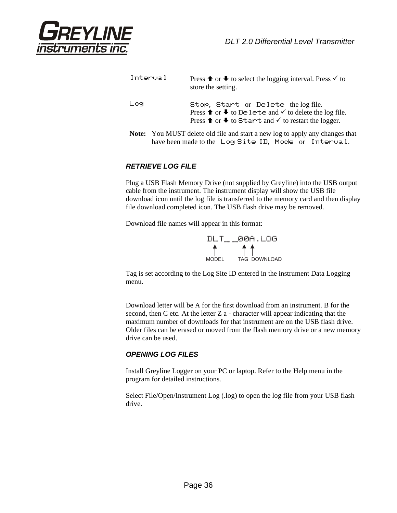

| Interval | Press <b>↑</b> or $\blacklozenge$ to select the logging interval. Press $\checkmark$ to<br>store the setting.                                                                                                      |
|----------|--------------------------------------------------------------------------------------------------------------------------------------------------------------------------------------------------------------------|
| Log      | Stop, Start or Delete the log file.<br>Press <b>↑</b> or $\blacklozenge$ to De lete and $\checkmark$ to delete the log file.<br>Press <b>↑</b> or $\blacklozenge$ to Start and $\checkmark$ to restart the logger. |
|          |                                                                                                                                                                                                                    |

**Note:** You MUST delete old file and start a new log to apply any changes that have been made to the Log Site ID, Mode or Interval.

#### *RETRIEVE LOG FILE*

Plug a USB Flash Memory Drive (not supplied by Greyline) into the USB output cable from the instrument. The instrument display will show the USB file download icon until the log file is transferred to the memory card and then display file download completed icon. The USB flash drive may be removed.

Download file names will appear in this format:



Tag is set according to the Log Site ID entered in the instrument Data Logging menu.

 Download letter will be A for the first download from an instrument. B for the second, then C etc. At the letter Z a - character will appear indicating that the maximum number of downloads for that instrument are on the USB flash drive. Older files can be erased or moved from the flash memory drive or a new memory drive can be used.

#### *OPENING LOG FILES*

Install Greyline Logger on your PC or laptop. Refer to the Help menu in the program for detailed instructions.

Select File/Open/Instrument Log (.log) to open the log file from your USB flash drive.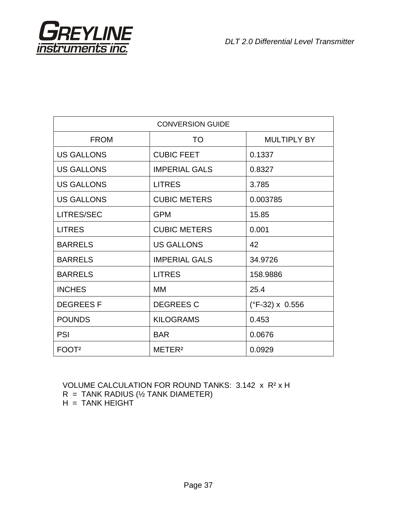

| <b>CONVERSION GUIDE</b> |                      |                               |  |  |
|-------------------------|----------------------|-------------------------------|--|--|
| <b>FROM</b>             | <b>TO</b>            | <b>MULTIPLY BY</b>            |  |  |
| <b>US GALLONS</b>       | <b>CUBIC FEET</b>    | 0.1337                        |  |  |
| <b>US GALLONS</b>       | <b>IMPERIAL GALS</b> | 0.8327                        |  |  |
| <b>US GALLONS</b>       | <b>LITRES</b>        | 3.785                         |  |  |
| <b>US GALLONS</b>       | <b>CUBIC METERS</b>  | 0.003785                      |  |  |
| LITRES/SEC              | <b>GPM</b>           | 15.85                         |  |  |
| <b>LITRES</b>           | <b>CUBIC METERS</b>  | 0.001                         |  |  |
| <b>BARRELS</b>          | <b>US GALLONS</b>    | 42                            |  |  |
| <b>BARRELS</b>          | <b>IMPERIAL GALS</b> | 34.9726                       |  |  |
| <b>BARRELS</b>          | <b>LITRES</b>        | 158.9886                      |  |  |
| <b>INCHES</b>           | MМ                   | 25.4                          |  |  |
| <b>DEGREESF</b>         | <b>DEGREES C</b>     | $(^{\circ}F-32) \times 0.556$ |  |  |
| <b>POUNDS</b>           | <b>KILOGRAMS</b>     | 0.453                         |  |  |
| <b>PSI</b>              | <b>BAR</b>           | 0.0676                        |  |  |
| FOOT <sup>2</sup>       | METER <sup>2</sup>   | 0.0929                        |  |  |

VOLUME CALCULATION FOR ROUND TANKS: 3.142 x R² x H

 $R = TANK$  RADIUS ( $\frac{1}{2}$  TANK DIAMETER)

H = TANK HEIGHT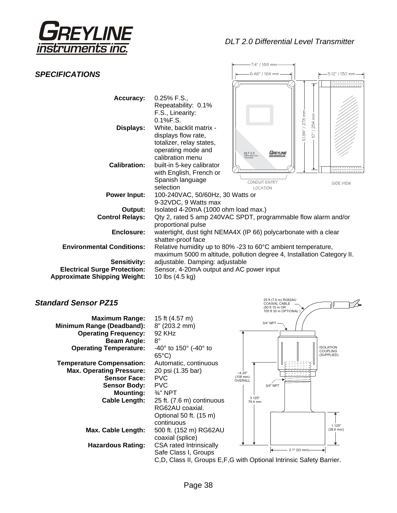

25 ft (7.6 m) RG62AU COAXIAL CABLE (50 ft 15 m OR 100 ft 30 m OPTIONAL )

|                                     |                                                                                                              | -7.4" / 188 mm·                                                                                                                        |                                        |
|-------------------------------------|--------------------------------------------------------------------------------------------------------------|----------------------------------------------------------------------------------------------------------------------------------------|----------------------------------------|
| <b>SPECIFICATIONS</b>               |                                                                                                              | 6.46" / 164 mm -                                                                                                                       | 5.12" / 130 mm-                        |
|                                     |                                                                                                              |                                                                                                                                        |                                        |
| Accuracy:                           | $0.25\%$ F.S.,<br>Repeatability: 0.1%<br>F.S., Linearity:                                                    |                                                                                                                                        |                                        |
| Displays:                           | 0.1%F.S.<br>White, backlit matrix -<br>displays flow rate,<br>totalizer, relay states,<br>operating mode and |                                                                                                                                        | / 278 mm<br>254 mm<br>$10.94$ "<br>io. |
| <b>Calibration:</b>                 | calibration menu<br>built-in 5-key calibrator<br>with English, French or<br>Spanish language                 | GREYLINE<br><b>DLT 2.0</b><br><b>fferential Leve</b><br>CONDUIT ENTRY                                                                  | SIDE VIEW                              |
| <b>Power Input:</b>                 | selection<br>100-240VAC, 50/60Hz, 30 Watts or<br>9-32VDC, 9 Watts max                                        | <b>LOCATION</b>                                                                                                                        |                                        |
| Output:                             | Isolated 4-20mA (1000 ohm load max.)                                                                         |                                                                                                                                        |                                        |
| <b>Control Relays:</b>              | proportional pulse                                                                                           | Qty 2, rated 5 amp 240VAC SPDT, programmable flow alarm and/or                                                                         |                                        |
| Enclosure:                          | shatter-proof face                                                                                           | watertight, dust tight NEMA4X (IP 66) polycarbonate with a clear                                                                       |                                        |
| <b>Environmental Conditions:</b>    |                                                                                                              | Relative humidity up to 80% -23 to 60°C ambient temperature,<br>maximum 5000 m altitude, pollution degree 4, Installation Category II. |                                        |
| <b>Sensitivity:</b>                 | adjustable. Damping: adjustable                                                                              |                                                                                                                                        |                                        |
| <b>Electrical Surge Protection:</b> | Sensor, 4-20mA output and AC power input                                                                     |                                                                                                                                        |                                        |
| <b>Approximate Shipping Weight:</b> | 10 lbs (4.5 kg)                                                                                              |                                                                                                                                        |                                        |

# *Standard Sensor PZ15*

| <b>Maximum Range:</b><br>Minimum Range (Deadband):<br><b>Operating Frequency:</b><br><b>Beam Angle:</b>                                                       | 15 ft (4.57 m)<br>8" (203.2 mm)<br>92 KHz<br>$8^{\circ}$                                                                                                                              | 3/4" NPT                                                                                 |
|---------------------------------------------------------------------------------------------------------------------------------------------------------------|---------------------------------------------------------------------------------------------------------------------------------------------------------------------------------------|------------------------------------------------------------------------------------------|
| <b>Operating Temperature:</b>                                                                                                                                 | $-40^{\circ}$ to 150 $^{\circ}$ (-40 $^{\circ}$ to<br>$65^{\circ}$ C)                                                                                                                 | <b>ISOLATION</b><br><b>COUPLING</b><br>(SUPPLIED)                                        |
| <b>Temperature Compensation:</b><br><b>Max. Operating Pressure:</b><br><b>Sensor Face:</b><br><b>Sensor Body:</b><br><b>Mounting:</b><br><b>Cable Length:</b> | Automatic, continuous<br>20 psi (1.35 bar)<br><b>PVC</b><br><b>PVC</b><br>$\frac{3}{4}$ " NPT<br>25 ft. (7.6 m) continuous<br>RG62AU coaxial.<br>Optional 50 ft. (15 m)<br>continuous | $-4.25"$<br>$(108$ mm)<br>OVERALL<br>3/4" NPT<br>3.125"<br>79.4 mm                       |
| Max. Cable Length:                                                                                                                                            | 500 ft. (152 m) RG62AU<br>coaxial (splice)                                                                                                                                            | 1.125"<br>$(28.6$ mm)                                                                    |
| <b>Hazardous Rating:</b>                                                                                                                                      | <b>CSA rated Intrinsically</b><br>Safe Class I, Groups                                                                                                                                | $2.1"$ (53 mm)<br>C, D, Class II, Groups E, F, G with Optional Intrinsic Safety Barrier. |